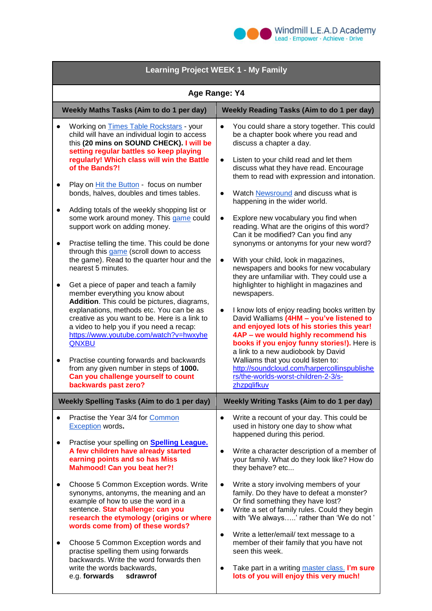

| <b>Learning Project WEEK 1 - My Family</b>                                                                                                                                                                                                                                                                                                                                                                                                                                                                                                                                                                                                                                                                                                                                                                                                                                                                                                                                                                                                                                                                                                                                             |           |                                                                                                                                                                                                                                                                                                                                                                                                                                                                                                                                                                                                                                                                                                                                                                                                                                                                                                                                                                                                                                                                                                                                                                                       |
|----------------------------------------------------------------------------------------------------------------------------------------------------------------------------------------------------------------------------------------------------------------------------------------------------------------------------------------------------------------------------------------------------------------------------------------------------------------------------------------------------------------------------------------------------------------------------------------------------------------------------------------------------------------------------------------------------------------------------------------------------------------------------------------------------------------------------------------------------------------------------------------------------------------------------------------------------------------------------------------------------------------------------------------------------------------------------------------------------------------------------------------------------------------------------------------|-----------|---------------------------------------------------------------------------------------------------------------------------------------------------------------------------------------------------------------------------------------------------------------------------------------------------------------------------------------------------------------------------------------------------------------------------------------------------------------------------------------------------------------------------------------------------------------------------------------------------------------------------------------------------------------------------------------------------------------------------------------------------------------------------------------------------------------------------------------------------------------------------------------------------------------------------------------------------------------------------------------------------------------------------------------------------------------------------------------------------------------------------------------------------------------------------------------|
| Age Range: Y4                                                                                                                                                                                                                                                                                                                                                                                                                                                                                                                                                                                                                                                                                                                                                                                                                                                                                                                                                                                                                                                                                                                                                                          |           |                                                                                                                                                                                                                                                                                                                                                                                                                                                                                                                                                                                                                                                                                                                                                                                                                                                                                                                                                                                                                                                                                                                                                                                       |
| Weekly Maths Tasks (Aim to do 1 per day)                                                                                                                                                                                                                                                                                                                                                                                                                                                                                                                                                                                                                                                                                                                                                                                                                                                                                                                                                                                                                                                                                                                                               |           | <b>Weekly Reading Tasks (Aim to do 1 per day)</b>                                                                                                                                                                                                                                                                                                                                                                                                                                                                                                                                                                                                                                                                                                                                                                                                                                                                                                                                                                                                                                                                                                                                     |
| Working on Times Table Rockstars - your<br>child will have an individual login to access<br>this (20 mins on SOUND CHECK). I will be<br>setting regular battles so keep playing<br>regularly! Which class will win the Battle<br>of the Bands?!<br>Play on Hit the Button - focus on number<br>$\bullet$<br>bonds, halves, doubles and times tables.<br>Adding totals of the weekly shopping list or<br>$\bullet$<br>some work around money. This game could<br>support work on adding money.<br>Practise telling the time. This could be done<br>$\bullet$<br>through this game (scroll down to access<br>the game). Read to the quarter hour and the<br>nearest 5 minutes.<br>Get a piece of paper and teach a family<br>$\bullet$<br>member everything you know about<br>Addition. This could be pictures, diagrams,<br>explanations, methods etc. You can be as<br>creative as you want to be. Here is a link to<br>a video to help you if you need a recap:<br>https://www.youtube.com/watch?v=hwxyhe<br>QNXBU<br>Practise counting forwards and backwards<br>$\bullet$<br>from any given number in steps of 1000.<br>Can you challenge yourself to count<br>backwards past zero? | $\bullet$ | You could share a story together. This could<br>be a chapter book where you read and<br>discuss a chapter a day.<br>Listen to your child read and let them<br>$\bullet$<br>discuss what they have read. Encourage<br>them to read with expression and intonation.<br>Watch Newsround and discuss what is<br>$\bullet$<br>happening in the wider world.<br>Explore new vocabulary you find when<br>$\bullet$<br>reading. What are the origins of this word?<br>Can it be modified? Can you find any<br>synonyms or antonyms for your new word?<br>With your child, look in magazines,<br>$\bullet$<br>newspapers and books for new vocabulary<br>they are unfamiliar with. They could use a<br>highlighter to highlight in magazines and<br>newspapers.<br>I know lots of enjoy reading books written by<br>$\bullet$<br>David Walliams (4HM - you've listened to<br>and enjoyed lots of his stories this year!<br>4AP - we would highly recommend his<br>books if you enjoy funny stories!). Here is<br>a link to a new audiobook by David<br>Walliams that you could listen to:<br>http://soundcloud.com/harpercollinspublishe<br>rs/the-worlds-worst-children-2-3/s-<br>zhzpqlifkuv |
| <b>Weekly Spelling Tasks (Aim to do 1 per day)</b><br>Weekly Writing Tasks (Aim to do 1 per day)                                                                                                                                                                                                                                                                                                                                                                                                                                                                                                                                                                                                                                                                                                                                                                                                                                                                                                                                                                                                                                                                                       |           |                                                                                                                                                                                                                                                                                                                                                                                                                                                                                                                                                                                                                                                                                                                                                                                                                                                                                                                                                                                                                                                                                                                                                                                       |
| Practise the Year 3/4 for Common<br><b>Exception</b> words.<br>Practise your spelling on <b>Spelling League.</b><br>$\bullet$<br>A few children have already started<br>earning points and so has Miss<br><b>Mahmood! Can you beat her?!</b>                                                                                                                                                                                                                                                                                                                                                                                                                                                                                                                                                                                                                                                                                                                                                                                                                                                                                                                                           |           | Write a recount of your day. This could be<br>$\bullet$<br>used in history one day to show what<br>happened during this period.<br>Write a character description of a member of<br>$\bullet$<br>your family. What do they look like? How do<br>they behave? etc                                                                                                                                                                                                                                                                                                                                                                                                                                                                                                                                                                                                                                                                                                                                                                                                                                                                                                                       |
| Choose 5 Common Exception words. Write<br>synonyms, antonyms, the meaning and an<br>example of how to use the word in a<br>sentence. Star challenge: can you<br>research the etymology (origins or where<br>words come from) of these words?<br>Choose 5 Common Exception words and<br>$\bullet$<br>practise spelling them using forwards<br>backwards. Write the word forwards then<br>write the words backwards,<br>e.g. forwards<br>sdrawrof                                                                                                                                                                                                                                                                                                                                                                                                                                                                                                                                                                                                                                                                                                                                        |           | Write a story involving members of your<br>$\bullet$<br>family. Do they have to defeat a monster?<br>Or find something they have lost?<br>Write a set of family rules. Could they begin<br>$\bullet$<br>with 'We always' rather than 'We do not'<br>Write a letter/email/ text message to a<br>$\bullet$<br>member of their family that you have not<br>seen this week.<br>Take part in a writing master class. I'm sure<br>$\bullet$<br>lots of you will enjoy this very much!                                                                                                                                                                                                                                                                                                                                                                                                                                                                                                                                                                                                                                                                                                       |